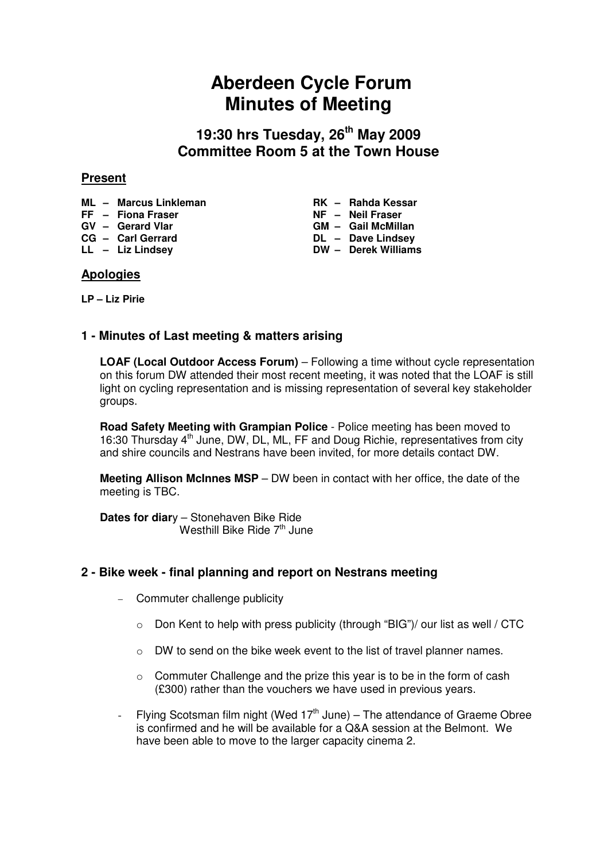# **Aberdeen Cycle Forum Minutes of Meeting**

**19:30 hrs Tuesday, 26th May 2009 Committee Room 5 at the Town House** 

## **Present**

- 
- FF Fiona Fraser
- 
- 
- 

## **ML** – Marcus Linkleman **RK** – Rahda Kessar<br>
FF – Fiona Fraser **RGC 1989** NF – Neil Fraser GV – Gerard Vlar **GM – Gail McMillan CG – Carl Gerrard DL – Dave Lindsey LL – Liz Lindsey DW – Derek Williams**

# **Apologies**

**LP – Liz Pirie** 

# **1 - Minutes of Last meeting & matters arising**

**LOAF (Local Outdoor Access Forum)** – Following a time without cycle representation on this forum DW attended their most recent meeting, it was noted that the LOAF is still light on cycling representation and is missing representation of several key stakeholder groups.

**Road Safety Meeting with Grampian Police** - Police meeting has been moved to 16:30 Thursday 4<sup>th</sup> June, DW, DL, ML, FF and Doug Richie, representatives from city and shire councils and Nestrans have been invited, for more details contact DW.

**Meeting Allison McInnes MSP** – DW been in contact with her office, the date of the meeting is TBC.

**Dates for diar**y – Stonehaven Bike Ride Westhill Bike Ride  $7<sup>th</sup>$  June

# **2 - Bike week - final planning and report on Nestrans meeting**

- − Commuter challenge publicity
	- $\circ$  Don Kent to help with press publicity (through "BIG")/ our list as well / CTC
	- o DW to send on the bike week event to the list of travel planner names.
	- o Commuter Challenge and the prize this year is to be in the form of cash (£300) rather than the vouchers we have used in previous years.
- Flying Scotsman film night (Wed  $17<sup>th</sup>$  June) The attendance of Graeme Obree is confirmed and he will be available for a Q&A session at the Belmont. We have been able to move to the larger capacity cinema 2.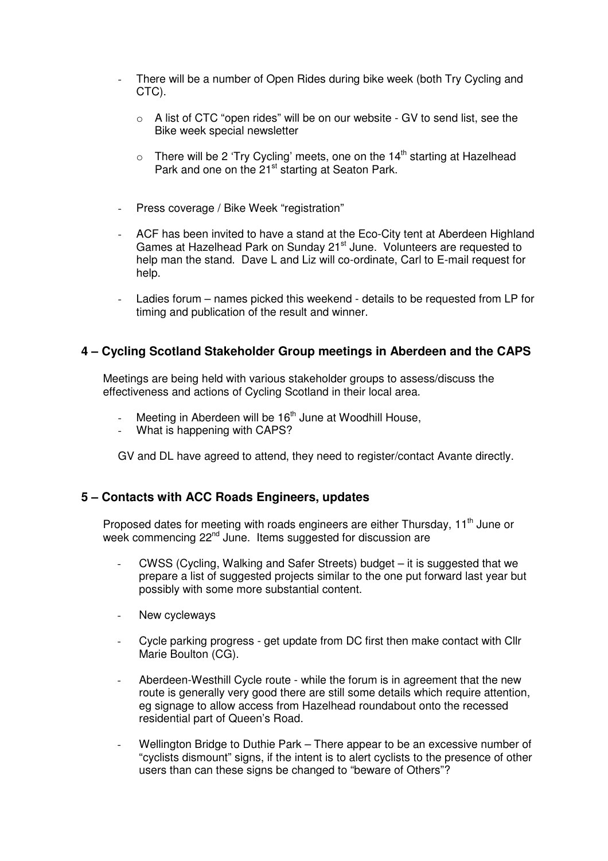- There will be a number of Open Rides during bike week (both Try Cycling and CTC).
	- $\circ$  A list of CTC "open rides" will be on our website GV to send list, see the Bike week special newsletter
	- $\circ$  There will be 2 'Try Cycling' meets, one on the 14<sup>th</sup> starting at Hazelhead Park and one on the 21<sup>st</sup> starting at Seaton Park.
- Press coverage / Bike Week "registration"
- ACF has been invited to have a stand at the Eco-City tent at Aberdeen Highland Games at Hazelhead Park on Sunday 21<sup>st</sup> June. Volunteers are requested to help man the stand. Dave L and Liz will co-ordinate, Carl to E-mail request for help.
- Ladies forum names picked this weekend details to be requested from LP for timing and publication of the result and winner.

## **4 – Cycling Scotland Stakeholder Group meetings in Aberdeen and the CAPS**

Meetings are being held with various stakeholder groups to assess/discuss the effectiveness and actions of Cycling Scotland in their local area.

- Meeting in Aberdeen will be  $16<sup>th</sup>$  June at Woodhill House,
- What is happening with CAPS?

GV and DL have agreed to attend, they need to register/contact Avante directly.

### **5 – Contacts with ACC Roads Engineers, updates**

Proposed dates for meeting with roads engineers are either Thursday,  $11<sup>th</sup>$  June or week commencing 22<sup>nd</sup> June. Items suggested for discussion are

- CWSS (Cycling, Walking and Safer Streets) budget it is suggested that we prepare a list of suggested projects similar to the one put forward last year but possibly with some more substantial content.
- New cycleways
- Cycle parking progress get update from DC first then make contact with Cllr Marie Boulton (CG).
- Aberdeen-Westhill Cycle route while the forum is in agreement that the new route is generally very good there are still some details which require attention, eg signage to allow access from Hazelhead roundabout onto the recessed residential part of Queen's Road.
- Wellington Bridge to Duthie Park There appear to be an excessive number of "cyclists dismount" signs, if the intent is to alert cyclists to the presence of other users than can these signs be changed to "beware of Others"?